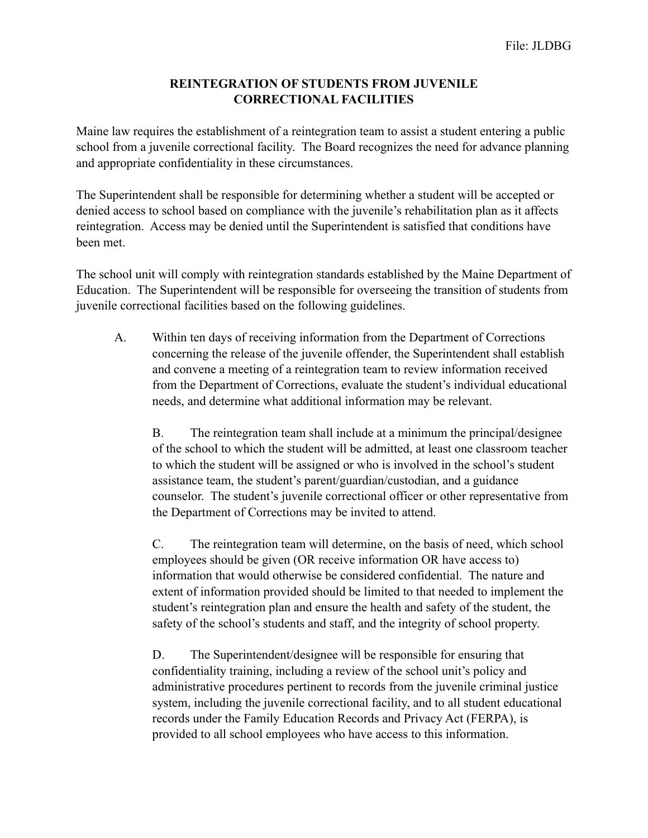## **REINTEGRATION OF STUDENTS FROM JUVENILE CORRECTIONAL FACILITIES**

Maine law requires the establishment of a reintegration team to assist a student entering a public school from a juvenile correctional facility. The Board recognizes the need for advance planning and appropriate confidentiality in these circumstances.

The Superintendent shall be responsible for determining whether a student will be accepted or denied access to school based on compliance with the juvenile's rehabilitation plan as it affects reintegration. Access may be denied until the Superintendent is satisfied that conditions have been met.

The school unit will comply with reintegration standards established by the Maine Department of Education. The Superintendent will be responsible for overseeing the transition of students from juvenile correctional facilities based on the following guidelines.

A. Within ten days of receiving information from the Department of Corrections concerning the release of the juvenile offender, the Superintendent shall establish and convene a meeting of a reintegration team to review information received from the Department of Corrections, evaluate the student's individual educational needs, and determine what additional information may be relevant.

 B. The reintegration team shall include at a minimum the principal/designee of the school to which the student will be admitted, at least one classroom teacher to which the student will be assigned or who is involved in the school's student assistance team, the student's parent/guardian/custodian, and a guidance counselor. The student's juvenile correctional officer or other representative from the Department of Corrections may be invited to attend.

 C. The reintegration team will determine, on the basis of need, which school employees should be given (OR receive information OR have access to) information that would otherwise be considered confidential. The nature and extent of information provided should be limited to that needed to implement the student's reintegration plan and ensure the health and safety of the student, the safety of the school's students and staff, and the integrity of school property.

 D. The Superintendent/designee will be responsible for ensuring that confidentiality training, including a review of the school unit's policy and administrative procedures pertinent to records from the juvenile criminal justice system, including the juvenile correctional facility, and to all student educational records under the Family Education Records and Privacy Act (FERPA), is provided to all school employees who have access to this information.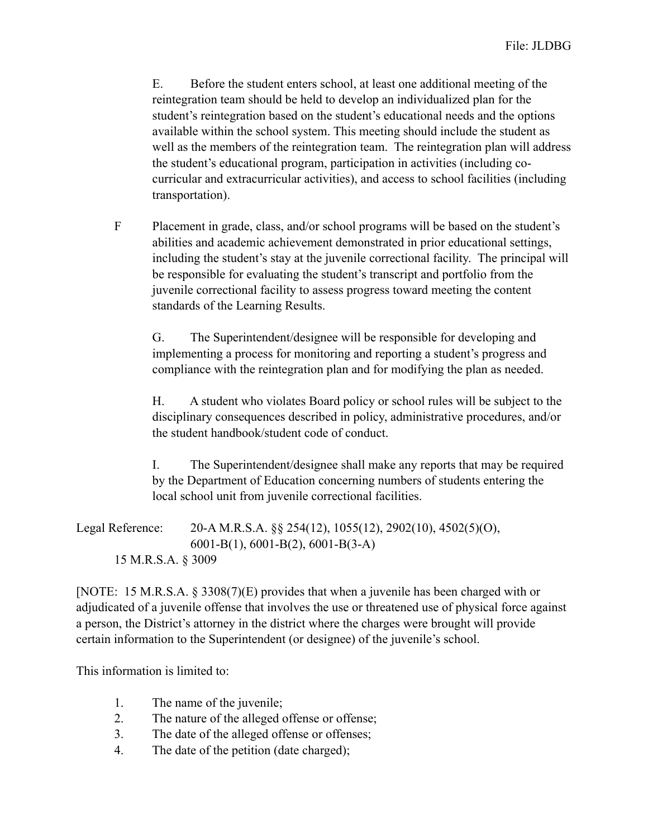E. Before the student enters school, at least one additional meeting of the reintegration team should be held to develop an individualized plan for the student's reintegration based on the student's educational needs and the options available within the school system. This meeting should include the student as well as the members of the reintegration team. The reintegration plan will address the student's educational program, participation in activities (including cocurricular and extracurricular activities), and access to school facilities (including transportation).

F Placement in grade, class, and/or school programs will be based on the student's abilities and academic achievement demonstrated in prior educational settings, including the student's stay at the juvenile correctional facility. The principal will be responsible for evaluating the student's transcript and portfolio from the juvenile correctional facility to assess progress toward meeting the content standards of the Learning Results.

 G. The Superintendent/designee will be responsible for developing and implementing a process for monitoring and reporting a student's progress and compliance with the reintegration plan and for modifying the plan as needed.

 H. A student who violates Board policy or school rules will be subject to the disciplinary consequences described in policy, administrative procedures, and/or the student handbook/student code of conduct.

 I. The Superintendent/designee shall make any reports that may be required by the Department of Education concerning numbers of students entering the local school unit from juvenile correctional facilities.

Legal Reference: 20-A M.R.S.A. §§ 254(12), 1055(12), 2902(10), 4502(5)(O), 6001-B(1), 6001-B(2), 6001-B(3-A) 15 M.R.S.A. § 3009

[NOTE: 15 M.R.S.A. § 3308(7)(E) provides that when a juvenile has been charged with or adjudicated of a juvenile offense that involves the use or threatened use of physical force against a person, the District's attorney in the district where the charges were brought will provide certain information to the Superintendent (or designee) of the juvenile's school.

This information is limited to:

- 1. The name of the juvenile;
- 2. The nature of the alleged offense or offense;
- 3. The date of the alleged offense or offenses;
- 4. The date of the petition (date charged);